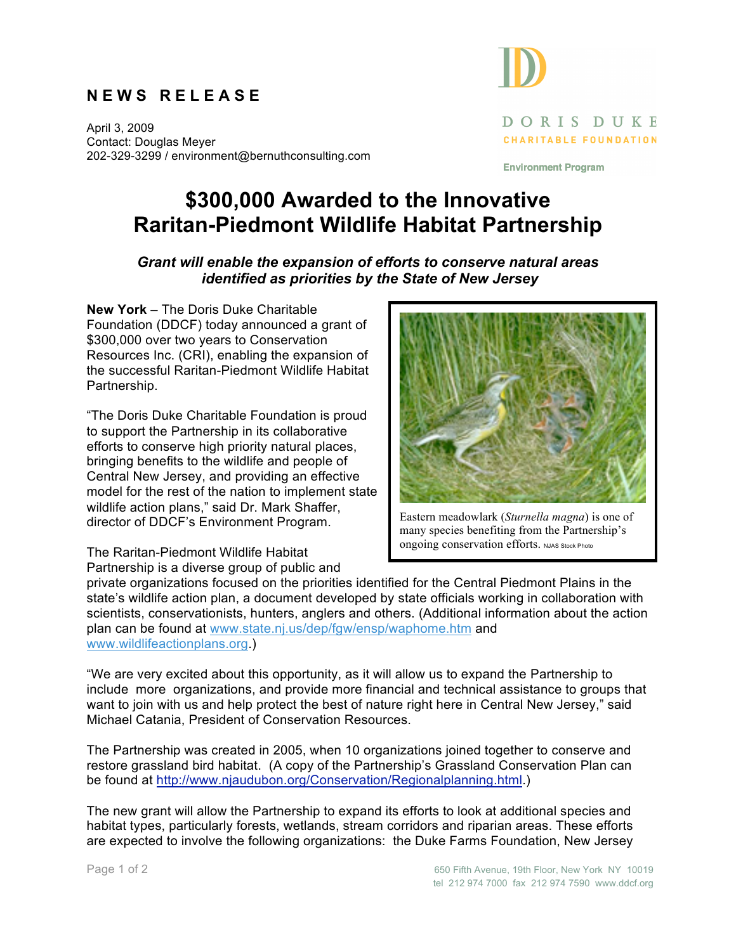## **N E W S R E L E A S E**

April 3, 2009 Contact: Douglas Meyer 202-329-3299 / environment@bernuthconsulting.com

## DORIS DUKE **CHARITABLE FOUNDATION**

**Environment Program** 

## **\$300,000 Awarded to the Innovative Raritan-Piedmont Wildlife Habitat Partnership**

## *Grant will enable the expansion of efforts to conserve natural areas identified as priorities by the State of New Jersey*

**New York** – The Doris Duke Charitable Foundation (DDCF) today announced a grant of \$300,000 over two years to Conservation Resources Inc. (CRI), enabling the expansion of the successful Raritan-Piedmont Wildlife Habitat Partnership.

"The Doris Duke Charitable Foundation is proud to support the Partnership in its collaborative efforts to conserve high priority natural places, bringing benefits to the wildlife and people of Central New Jersey, and providing an effective model for the rest of the nation to implement state wildlife action plans," said Dr. Mark Shaffer, director of DDCF's Environment Program.

Eastern meadowlark (*Sturnella magna*) is one of many species benefiting from the Partnership's ongoing conservation efforts. NJAS Stock Photo

The Raritan-Piedmont Wildlife Habitat Partnership is a diverse group of public and

private organizations focused on the priorities identified for the Central Piedmont Plains in the state's wildlife action plan, a document developed by state officials working in collaboration with scientists, conservationists, hunters, anglers and others. (Additional information about the action plan can be found at www.state.nj.us/dep/fgw/ensp/waphome.htm and www.wildlifeactionplans.org.)

"We are very excited about this opportunity, as it will allow us to expand the Partnership to include more organizations, and provide more financial and technical assistance to groups that want to join with us and help protect the best of nature right here in Central New Jersey," said Michael Catania, President of Conservation Resources.

The Partnership was created in 2005, when 10 organizations joined together to conserve and restore grassland bird habitat. (A copy of the Partnership's Grassland Conservation Plan can be found at http://www.njaudubon.org/Conservation/Regionalplanning.html.)

The new grant will allow the Partnership to expand its efforts to look at additional species and habitat types, particularly forests, wetlands, stream corridors and riparian areas. These efforts are expected to involve the following organizations: the Duke Farms Foundation, New Jersey